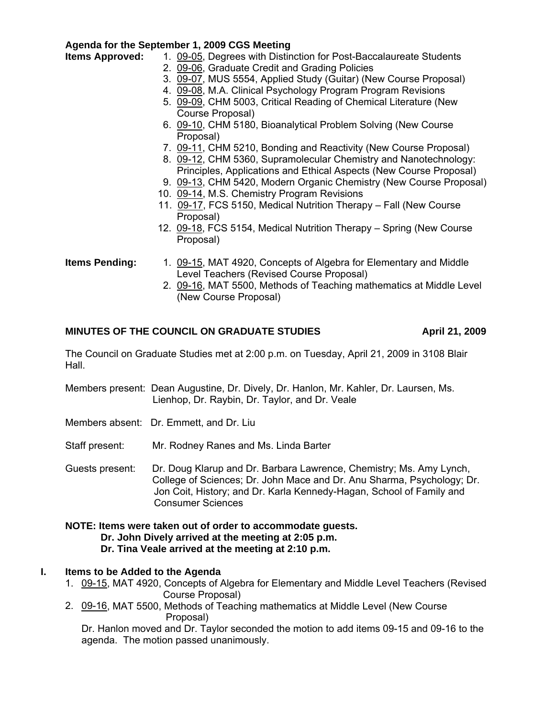# **Agenda for the September 1, 2009 CGS Meeting**

- **Items Approved:** 1. [09-05,](http://www.eiu.edu/~eiucgs/currentagendaitems/agenda09-05.pdf) Degrees with Distinction for Post-Baccalaureate Students
	- 2. [09-06,](http://www.eiu.edu/~eiucgs/currentagendaitems/agenda09-06.pdf) Graduate Credit and Grading Policies
	- 3. [09-07,](http://www.eiu.edu/~eiucgs/currentagendaitems/agenda09-07.pdf) MUS 5554, Applied Study (Guitar) (New Course Proposal)
	- 4. [09-08,](http://www.eiu.edu/~eiucgs/currentagendaitems/agenda09-08.pdf) M.A. Clinical Psychology Program Program Revisions
	- 5. [09-09,](http://www.eiu.edu/~eiucgs/currentagendaitems/agenda09-09.pdf) CHM 5003, Critical Reading of Chemical Literature (New Course Proposal)
	- 6. [09-10,](http://www.eiu.edu/~eiucgs/currentagendaitems/agenda09-10.pdf) CHM 5180, Bioanalytical Problem Solving (New Course Proposal)
	- 7. [09-11,](http://www.eiu.edu/~eiucgs/currentagendaitems/agenda09-11.pdf) CHM 5210, Bonding and Reactivity (New Course Proposal)
	- [8. 09-12, C](http://www.eiu.edu/~eiucgs/currentagendaitems/agenda09-12.pdf)HM 5360, Supramolecular Chemistry and Nanotechnology: Principles, Applications and Ethical Aspects (New Course Proposal)
	- 9. [09-13,](http://www.eiu.edu/~eiucgs/currentagendaitems/agenda09-13.pdf) CHM 5420, Modern Organic Chemistry (New Course Proposal)
	- 10. [09-14,](http://www.eiu.edu/~eiucgs/currentagendaitems/agenda09-14.pdf) M.S. Chemistry Program Revisions
	- 11. [09-17,](http://www.eiu.edu/~eiucgs/currentagendaitems/agenda09-17.pdf) FCS 5150, Medical Nutrition Therapy Fall (New Course Proposal)
	- 12. [09-18,](http://www.eiu.edu/~eiucgs/currentagendaitems/agenda09-18.pdf) FCS 5154, Medical Nutrition Therapy Spring (New Course Proposal)
- **Items Pending:** 1. [09-15,](http://www.eiu.edu/~eiucgs/currentagendaitems/agenda09-15.pdf) MAT 4920, Concepts of Algebra for Elementary and Middle Level Teachers (Revised Course Proposal)
	- 2. [09-16, M](http://www.eiu.edu/~eiucgs/currentagendaitems/agenda09-16.pdf)AT 5500, Methods of Teaching mathematics at Middle Level (New Course Proposal)

# MINUTES OF THE COUNCIL ON GRADUATE STUDIES **April 21, 2009**

The Council on Graduate Studies met at 2:00 p.m. on Tuesday, April 21, 2009 in 3108 Blair Hall.

Members present: Dean Augustine, Dr. Dively, Dr. Hanlon, Mr. Kahler, Dr. Laursen, Ms. Lienhop, Dr. Raybin, Dr. Taylor, and Dr. Veale

- Members absent: Dr. Emmett, and Dr. Liu
- Staff present: Mr. Rodney Ranes and Ms. Linda Barter
- Guests present: Dr. Doug Klarup and Dr. Barbara Lawrence, Chemistry; Ms. Amy Lynch, College of Sciences; Dr. John Mace and Dr. Anu Sharma, Psychology; Dr. Jon Coit, History; and Dr. Karla Kennedy-Hagan, School of Family and Consumer Sciences

#### **NOTE: Items were taken out of order to accommodate guests. Dr. John Dively arrived at the meeting at 2:05 p.m. Dr. Tina Veale arrived at the meeting at 2:10 p.m.**

# **I. Items to be Added to the Agenda**

- 1. [09-15, M](http://www.eiu.edu/~eiucgs/currentagendaitems/agenda09-15.pdf)AT 4920, Concepts of Algebra for Elementary and Middle Level Teachers (Revised Course Proposal)
- 2. [09-16,](http://www.eiu.edu/~eiucgs/currentagendaitems/agenda09-16.pdf) MAT 5500, Methods of Teaching mathematics at Middle Level (New Course Proposal)

Dr. Hanlon moved and Dr. Taylor seconded the motion to add items 09-15 and 09-16 to the agenda. The motion passed unanimously.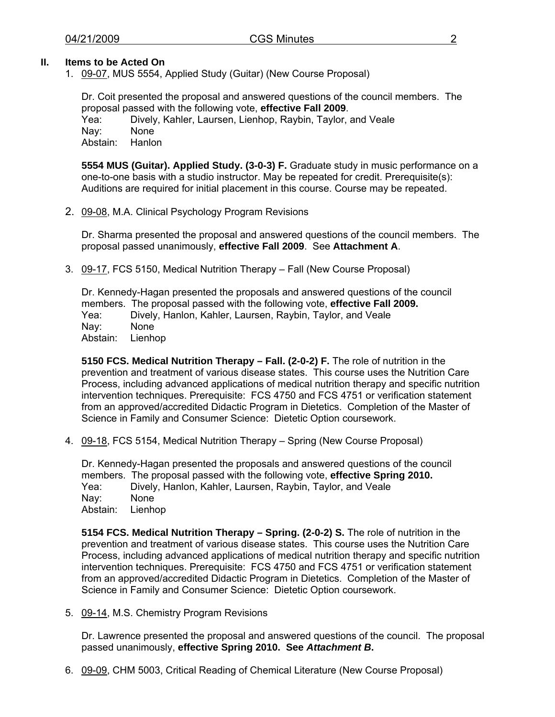## **II. Items to be Acted On**

1. [09-07, M](http://www.eiu.edu/~eiucgs/currentagendaitems/agenda09-07.pdf)US 5554, Applied Study (Guitar) (New Course Proposal)

Dr. Coit presented the proposal and answered questions of the council members. The proposal passed with the following vote, **effective Fall 2009**.

Yea: Dively, Kahler, Laursen, Lienhop, Raybin, Taylor, and Veale Nay: None Abstain: Hanlon

**5554 MUS (Guitar). Applied Study. (3-0-3) F.** Graduate study in music performance on a one-to-one basis with a studio instructor. May be repeated for credit. Prerequisite(s): Auditions are required for initial placement in this course. Course may be repeated.

2. [09-08, M](http://www.eiu.edu/~eiucgs/currentagendaitems/agenda09-08.pdf).A. Clinical Psychology Program Revisions

 Dr. Sharma presented the proposal and answered questions of the council members. The proposal passed unanimously, **effective Fall 2009**. See **Attachment A**.

3. [09-17,](http://www.eiu.edu/~eiucgs/currentagendaitems/agenda09-17.pdf) FCS 5150, Medical Nutrition Therapy – Fall (New Course Proposal)

 Dr. Kennedy-Hagan presented the proposals and answered questions of the council members. The proposal passed with the following vote, **effective Fall 2009.** Yea: Dively, Hanlon, Kahler, Laursen, Raybin, Taylor, and Veale Nay: None Abstain: Lienhop

**5150 FCS. Medical Nutrition Therapy – Fall. (2-0-2) F.** The role of nutrition in the prevention and treatment of various disease states. This course uses the Nutrition Care Process, including advanced applications of medical nutrition therapy and specific nutrition intervention techniques. Prerequisite: FCS 4750 and FCS 4751 or verification statement from an approved/accredited Didactic Program in Dietetics. Completion of the Master of Science in Family and Consumer Science: Dietetic Option coursework.

4. [09-18,](http://www.eiu.edu/~eiucgs/currentagendaitems/agenda09-18.pdf) FCS 5154, Medical Nutrition Therapy – Spring (New Course Proposal)

 Dr. Kennedy-Hagan presented the proposals and answered questions of the council members. The proposal passed with the following vote, **effective Spring 2010.** Yea: Dively, Hanlon, Kahler, Laursen, Raybin, Taylor, and Veale Nay: None Abstain: Lienhop

**5154 FCS. Medical Nutrition Therapy – Spring. (2-0-2) S.** The role of nutrition in the prevention and treatment of various disease states. This course uses the Nutrition Care Process, including advanced applications of medical nutrition therapy and specific nutrition intervention techniques. Prerequisite: FCS 4750 and FCS 4751 or verification statement from an approved/accredited Didactic Program in Dietetics. Completion of the Master of Science in Family and Consumer Science: Dietetic Option coursework.

5. [09-14, M.](http://www.eiu.edu/~eiucgs/currentagendaitems/agenda09-14.pdf)S. Chemistry Program Revisions

Dr. Lawrence presented the proposal and answered questions of the council. The proposal passed unanimously, **effective Spring 2010. See** *Attachment B***.**

6. [09-09,](http://www.eiu.edu/~eiucgs/currentagendaitems/agenda09-09.pdf) CHM 5003, Critical Reading of Chemical Literature (New Course Proposal)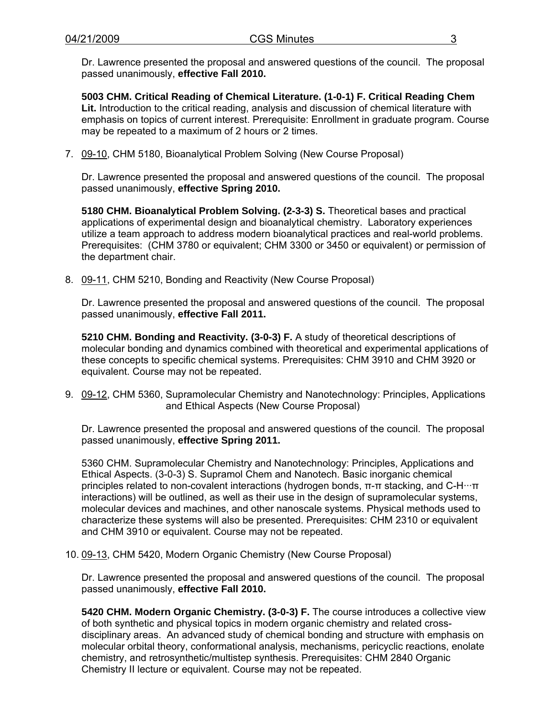Dr. Lawrence presented the proposal and answered questions of the council. The proposal passed unanimously, **effective Fall 2010.** 

**5003 CHM. Critical Reading of Chemical Literature. (1-0-1) F. Critical Reading Chem Lit.** Introduction to the critical reading, analysis and discussion of chemical literature with emphasis on topics of current interest. Prerequisite: Enrollment in graduate program. Course may be repeated to a maximum of 2 hours or 2 times.

7. [09-10, C](http://www.eiu.edu/~eiucgs/currentagendaitems/agenda09-10.pdf)HM 5180, Bioanalytical Problem Solving (New Course Proposal)

Dr. Lawrence presented the proposal and answered questions of the council. The proposal passed unanimously, **effective Spring 2010.** 

**5180 CHM. Bioanalytical Problem Solving. (2-3-3) S.** Theoretical bases and practical applications of experimental design and bioanalytical chemistry. Laboratory experiences utilize a team approach to address modern bioanalytical practices and real-world problems. Prerequisites: (CHM 3780 or equivalent; CHM 3300 or 3450 or equivalent) or permission of the department chair.

8. [09-11,](http://www.eiu.edu/~eiucgs/currentagendaitems/agenda09-11.pdf) CHM 5210, Bonding and Reactivity (New Course Proposal)

Dr. Lawrence presented the proposal and answered questions of the council. The proposal passed unanimously, **effective Fall 2011.** 

**5210 CHM. Bonding and Reactivity. (3-0-3) F.** A study of theoretical descriptions of molecular bonding and dynamics combined with theoretical and experimental applications of these concepts to specific chemical systems. Prerequisites: CHM 3910 and CHM 3920 or equivalent. Course may not be repeated.

9. [09-12,](http://www.eiu.edu/~eiucgs/currentagendaitems/agenda09-12.pdf) CHM 5360, Supramolecular Chemistry and Nanotechnology: Principles, Applications and Ethical Aspects (New Course Proposal)

Dr. Lawrence presented the proposal and answered questions of the council. The proposal passed unanimously, **effective Spring 2011.** 

5360 CHM. Supramolecular Chemistry and Nanotechnology: Principles, Applications and Ethical Aspects. (3-0-3) S. Supramol Chem and Nanotech. Basic inorganic chemical principles related to non-covalent interactions (hydrogen bonds, π-π stacking, and C-H···π interactions) will be outlined, as well as their use in the design of supramolecular systems, molecular devices and machines, and other nanoscale systems. Physical methods used to characterize these systems will also be presented. Prerequisites: CHM 2310 or equivalent and CHM 3910 or equivalent. Course may not be repeated.

10[. 09-13,](http://www.eiu.edu/~eiucgs/currentagendaitems/agenda09-13.pdf) CHM 5420, Modern Organic Chemistry (New Course Proposal)

Dr. Lawrence presented the proposal and answered questions of the council. The proposal passed unanimously, **effective Fall 2010.** 

**5420 CHM. Modern Organic Chemistry. (3-0-3) F.** The course introduces a collective view of both synthetic and physical topics in modern organic chemistry and related crossdisciplinary areas. An advanced study of chemical bonding and structure with emphasis on molecular orbital theory, conformational analysis, mechanisms, pericyclic reactions, enolate chemistry, and retrosynthetic/multistep synthesis. Prerequisites: CHM 2840 Organic Chemistry II lecture or equivalent. Course may not be repeated.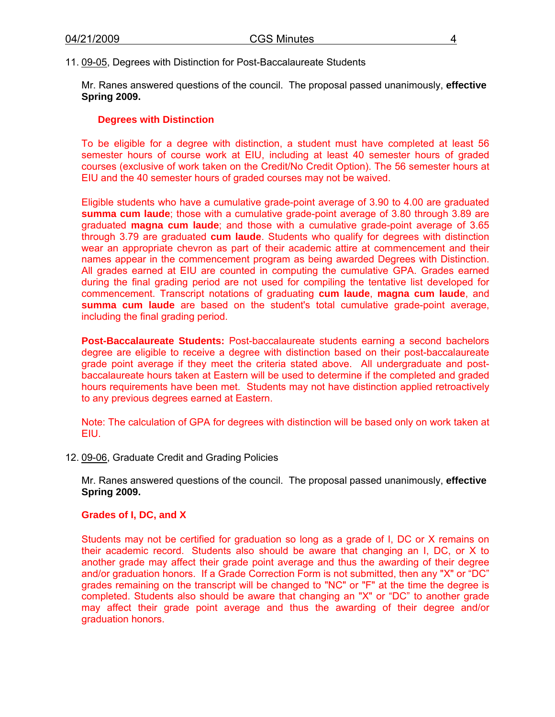11[. 09-05,](http://www.eiu.edu/~eiucgs/currentagendaitems/agenda09-05.pdf) Degrees with Distinction for Post-Baccalaureate Students

Mr. Ranes answered questions of the council. The proposal passed unanimously, **effective Spring 2009.**

#### **Degrees with Distinction**

To be eligible for a degree with distinction, a student must have completed at least 56 semester hours of course work at EIU, including at least 40 semester hours of graded courses (exclusive of work taken on the Credit/No Credit Option). The 56 semester hours at EIU and the 40 semester hours of graded courses may not be waived.

Eligible students who have a cumulative grade-point average of 3.90 to 4.00 are graduated **summa cum laude**; those with a cumulative grade-point average of 3.80 through 3.89 are graduated **magna cum laude**; and those with a cumulative grade-point average of 3.65 through 3.79 are graduated **cum laude**. Students who qualify for degrees with distinction wear an appropriate chevron as part of their academic attire at commencement and their names appear in the commencement program as being awarded Degrees with Distinction. All grades earned at EIU are counted in computing the cumulative GPA. Grades earned during the final grading period are not used for compiling the tentative list developed for commencement. Transcript notations of graduating **cum laude**, **magna cum laude**, and **summa cum laude** are based on the student's total cumulative grade-point average, including the final grading period.

**Post-Baccalaureate Students:** Post-baccalaureate students earning a second bachelors degree are eligible to receive a degree with distinction based on their post-baccalaureate grade point average if they meet the criteria stated above. All undergraduate and postbaccalaureate hours taken at Eastern will be used to determine if the completed and graded hours requirements have been met. Students may not have distinction applied retroactively to any previous degrees earned at Eastern.

Note: The calculation of GPA for degrees with distinction will be based only on work taken at EIU.

12[. 09-06,](http://www.eiu.edu/~eiucgs/currentagendaitems/agenda09-06.pdf) Graduate Credit and Grading Policies

Mr. Ranes answered questions of the council. The proposal passed unanimously, **effective Spring 2009.**

#### **Grades of I, DC, and X**

Students may not be certified for graduation so long as a grade of I, DC or X remains on their academic record. Students also should be aware that changing an I, DC, or X to another grade may affect their grade point average and thus the awarding of their degree and/or graduation honors. If a Grade Correction Form is not submitted, then any "X" or "DC" grades remaining on the transcript will be changed to "NC" or "F" at the time the degree is completed. Students also should be aware that changing an "X" or "DC" to another grade may affect their grade point average and thus the awarding of their degree and/or graduation honors.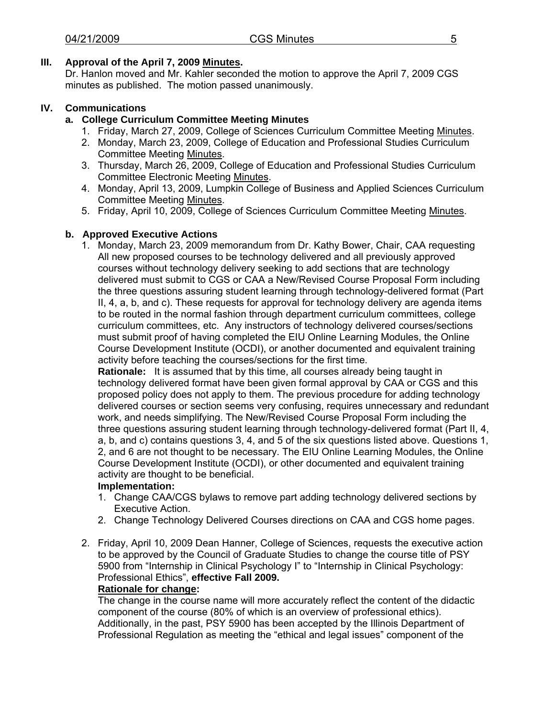# **III. Approval of the April 7, 200[9 Minutes.](http://www.eiu.edu/~eiucgs/currentminutes/Minutes4-07-09.pdf)**

Dr. Hanlon moved and Mr. Kahler seconded the motion to approve the April 7, 2009 CGS minutes as published. The motion passed unanimously.

# **IV. Communications**

# **a. College Curriculum Committee Meeting Minutes**

- 1. Friday, March 27, 2009, College of Sciences Curriculum Committee Meetin[g Minutes.](http://www.eiu.edu/~eiucgs/currentagendaitems/COSMin3-27-09.pdf)
- 2. Monday, March 23, 2009, College of Education and Professional Studies Curriculum Committee Meetin[g Minutes.](http://www.eiu.edu/~eiucgs/currentagendaitems/CEPSMin3-23-09.pdf)
- 3. Thursday, March 26, 2009, College of Education and Professional Studies Curriculum Committee Electronic Meeti[ng Minutes.](http://www.eiu.edu/~eiucgs/currentagendaitems/CEPSMin3-26-09.pdf)
- 4. Monday, April 13, 2009, Lumpkin College of Business and Applied Sciences Curriculum Committee Meetin[g Minutes.](http://www.eiu.edu/~eiucgs/currentagendaitems/LCBASMin4-13-09.pdf)
- 5. Friday, April 10, 2009, College of Sciences Curriculum Committee Meetin[g Minutes.](http://www.eiu.edu/~eiucgs/currentagendaitems/COSMin4-10-09.pdf)

# **b. Approved Executive Actions**

 1. Monday, March 23, 2009 memorandum from Dr. Kathy Bower, Chair, CAA requesting All new proposed courses to be technology delivered and all previously approved courses without technology delivery seeking to add sections that are technology delivered must submit to CGS or CAA a New/Revised Course Proposal Form including the three questions assuring student learning through technology-delivered format (Part II, 4, a, b, and c). These requests for approval for technology delivery are agenda items to be routed in the normal fashion through department curriculum committees, college curriculum committees, etc. Any instructors of technology delivered courses/sections must submit proof of having completed the EIU Online Learning Modules, the Online Course Development Institute (OCDI), or another documented and equivalent training activity before teaching the courses/sections for the first time.

**Rationale:** It is assumed that by this time, all courses already being taught in technology delivered format have been given formal approval by CAA or CGS and this proposed policy does not apply to them. The previous procedure for adding technology delivered courses or section seems very confusing, requires unnecessary and redundant work, and needs simplifying. The New/Revised Course Proposal Form including the three questions assuring student learning through technology-delivered format (Part II, 4, a, b, and c) contains questions 3, 4, and 5 of the six questions listed above. Questions 1, 2, and 6 are not thought to be necessary. The EIU Online Learning Modules, the Online Course Development Institute (OCDI), or other documented and equivalent training activity are thought to be beneficial.

# **Implementation:**

- 1. Change CAA/CGS bylaws to remove part adding technology delivered sections by Executive Action.
- 2. Change Technology Delivered Courses directions on CAA and CGS home pages.
- 2. Friday, April 10, 2009 Dean Hanner, College of Sciences, requests the executive action to be approved by the Council of Graduate Studies to change the course title of PSY 5900 from "Internship in Clinical Psychology I" to "Internship in Clinical Psychology: Professional Ethics", **effective Fall 2009.**

# **Rationale for change:**

The change in the course name will more accurately reflect the content of the didactic component of the course (80% of which is an overview of professional ethics). Additionally, in the past, PSY 5900 has been accepted by the Illinois Department of Professional Regulation as meeting the "ethical and legal issues" component of the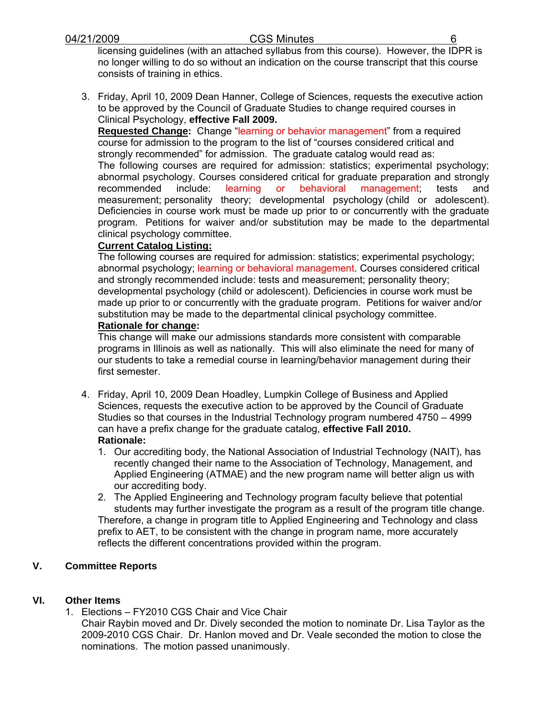licensing guidelines (with an attached syllabus from this course). However, the IDPR is no longer willing to do so without an indication on the course transcript that this course consists of training in ethics.

3. Friday, April 10, 2009 Dean Hanner, College of Sciences, requests the executive action to be approved by the Council of Graduate Studies to change required courses in Clinical Psychology, **effective Fall 2009.**

**Requested Change:** Change "learning or behavior management" from a required course for admission to the program to the list of "courses considered critical and strongly recommended" for admission. The graduate catalog would read as: The following courses are required for admission: statistics; experimental psychology; abnormal psychology. Courses considered critical for graduate preparation and strongly recommended include: learning or behavioral management; tests and measurement; personality theory; developmental psychology (child or adolescent). Deficiencies in course work must be made up prior to or concurrently with the graduate program. Petitions for waiver and/or substitution may be made to the departmental clinical psychology committee.

# **Current Catalog Listing:**

The following courses are required for admission: statistics; experimental psychology; abnormal psychology; learning or behavioral management. Courses considered critical and strongly recommended include: tests and measurement; personality theory; developmental psychology (child or adolescent). Deficiencies in course work must be made up prior to or concurrently with the graduate program. Petitions for waiver and/or substitution may be made to the departmental clinical psychology committee.

# **Rationale for change:**

This change will make our admissions standards more consistent with comparable programs in Illinois as well as nationally. This will also eliminate the need for many of our students to take a remedial course in learning/behavior management during their first semester.

- 4. Friday, April 10, 2009 Dean Hoadley, Lumpkin College of Business and Applied Sciences, requests the executive action to be approved by the Council of Graduate Studies so that courses in the Industrial Technology program numbered 4750 – 4999 can have a prefix change for the graduate catalog, **effective Fall 2010. Rationale:**
	- 1. Our accrediting body, the National Association of Industrial Technology (NAIT), has recently changed their name to the Association of Technology, Management, and Applied Engineering (ATMAE) and the new program name will better align us with our accrediting body.
	- 2. The Applied Engineering and Technology program faculty believe that potential students may further investigate the program as a result of the program title change. Therefore, a change in program title to Applied Engineering and Technology and class prefix to AET, to be consistent with the change in program name, more accurately reflects the different concentrations provided within the program.

# **V. Committee Reports**

# **VI. Other Items**

1. Elections – FY2010 CGS Chair and Vice Chair Chair Raybin moved and Dr. Dively seconded the motion to nominate Dr. Lisa Taylor as the 2009-2010 CGS Chair. Dr. Hanlon moved and Dr. Veale seconded the motion to close the nominations. The motion passed unanimously.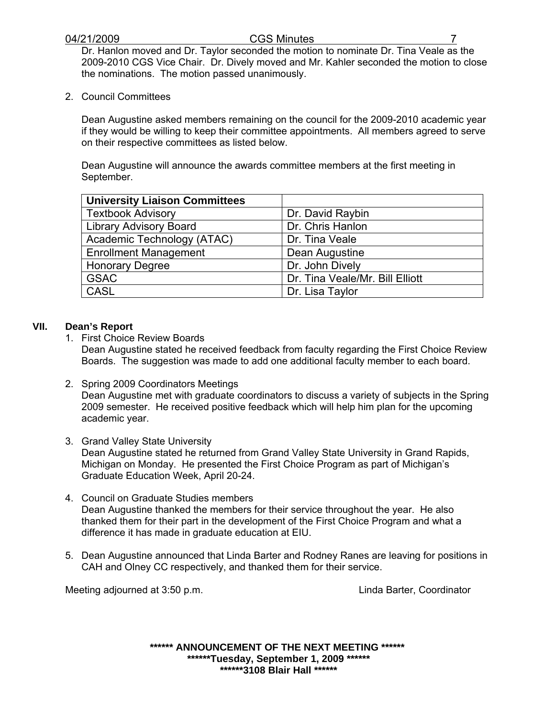Dr. Hanlon moved and Dr. Taylor seconded the motion to nominate Dr. Tina Veale as the 2009-2010 CGS Vice Chair. Dr. Dively moved and Mr. Kahler seconded the motion to close the nominations. The motion passed unanimously.

2. Council Committees

Dean Augustine asked members remaining on the council for the 2009-2010 academic year if they would be willing to keep their committee appointments. All members agreed to serve on their respective committees as listed below.

Dean Augustine will announce the awards committee members at the first meeting in September.

| <b>University Liaison Committees</b> |                                 |
|--------------------------------------|---------------------------------|
| <b>Textbook Advisory</b>             | Dr. David Raybin                |
| <b>Library Advisory Board</b>        | Dr. Chris Hanlon                |
| Academic Technology (ATAC)           | Dr. Tina Veale                  |
| <b>Enrollment Management</b>         | Dean Augustine                  |
| <b>Honorary Degree</b>               | Dr. John Dively                 |
| <b>GSAC</b>                          | Dr. Tina Veale/Mr. Bill Elliott |
| CASL                                 | Dr. Lisa Taylor                 |

# **VII. Dean's Report**

- 1. First Choice Review Boards Dean Augustine stated he received feedback from faculty regarding the First Choice Review Boards. The suggestion was made to add one additional faculty member to each board.
- 2. Spring 2009 Coordinators Meetings Dean Augustine met with graduate coordinators to discuss a variety of subjects in the Spring 2009 semester. He received positive feedback which will help him plan for the upcoming academic year.
- 3. Grand Valley State University Dean Augustine stated he returned from Grand Valley State University in Grand Rapids, Michigan on Monday. He presented the First Choice Program as part of Michigan's Graduate Education Week, April 20-24.
- 4. Council on Graduate Studies members Dean Augustine thanked the members for their service throughout the year. He also thanked them for their part in the development of the First Choice Program and what a difference it has made in graduate education at EIU.
- 5. Dean Augustine announced that Linda Barter and Rodney Ranes are leaving for positions in CAH and Olney CC respectively, and thanked them for their service.

Meeting adjourned at 3:50 p.m. Coordinator European Meeting adjourned at 3:50 p.m.

**\*\*\*\*\*\* ANNOUNCEMENT OF THE NEXT MEETING \*\*\*\*\*\* \*\*\*\*\*\*Tuesday, September 1, 2009 \*\*\*\*\*\* \*\*\*\*\*\*3108 Blair Hall \*\*\*\*\*\***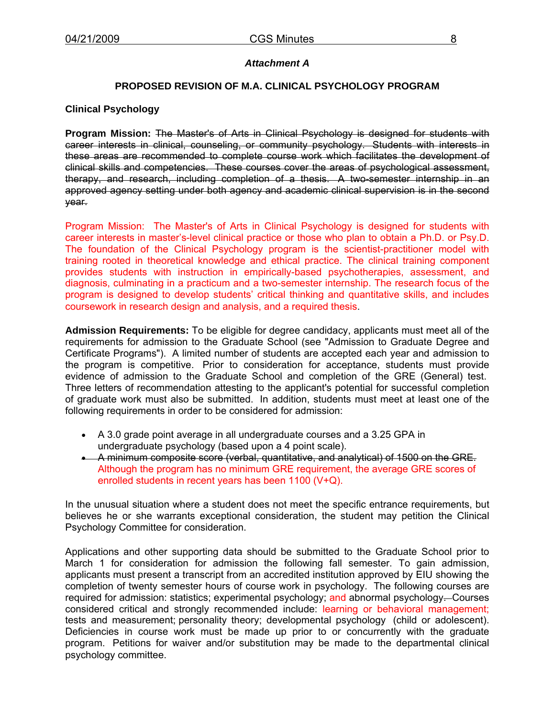## *Attachment A*

# **PROPOSED REVISION OF M.A. CLINICAL PSYCHOLOGY PROGRAM**

#### **Clinical Psychology**

**Program Mission:** The Master's of Arts in Clinical Psychology is designed for students with career interests in clinical, counseling, or community psychology. Students with interests in these areas are recommended to complete course work which facilitates the development of clinical skills and competencies. These courses cover the areas of psychological assessment, therapy, and research, including completion of a thesis. A two-semester internship in an approved agency setting under both agency and academic clinical supervision is in the second year.

Program Mission: The Master's of Arts in Clinical Psychology is designed for students with career interests in master's-level clinical practice or those who plan to obtain a Ph.D. or Psy.D. The foundation of the Clinical Psychology program is the scientist-practitioner model with training rooted in theoretical knowledge and ethical practice. The clinical training component provides students with instruction in empirically-based psychotherapies, assessment, and diagnosis, culminating in a practicum and a two-semester internship. The research focus of the program is designed to develop students' critical thinking and quantitative skills, and includes coursework in research design and analysis, and a required thesis.

**Admission Requirements:** To be eligible for degree candidacy, applicants must meet all of the requirements for admission to the Graduate School (see "Admission to Graduate Degree and Certificate Programs"). A limited number of students are accepted each year and admission to the program is competitive. Prior to consideration for acceptance, students must provide evidence of admission to the Graduate School and completion of the GRE (General) test. Three letters of recommendation attesting to the applicant's potential for successful completion of graduate work must also be submitted. In addition, students must meet at least one of the following requirements in order to be considered for admission:

- A 3.0 grade point average in all undergraduate courses and a 3.25 GPA in undergraduate psychology (based upon a 4 point scale).
- A minimum composite score (verbal, quantitative, and analytical) of 1500 on the GRE. Although the program has no minimum GRE requirement, the average GRE scores of enrolled students in recent years has been 1100 (V+Q).

In the unusual situation where a student does not meet the specific entrance requirements, but believes he or she warrants exceptional consideration, the student may petition the Clinical Psychology Committee for consideration.

Applications and other supporting data should be submitted to the Graduate School prior to March 1 for consideration for admission the following fall semester. To gain admission, applicants must present a transcript from an accredited institution approved by EIU showing the completion of twenty semester hours of course work in psychology. The following courses are required for admission: statistics; experimental psychology; and abnormal psychology-Courses considered critical and strongly recommended include: learning or behavioral management; tests and measurement; personality theory; developmental psychology (child or adolescent). Deficiencies in course work must be made up prior to or concurrently with the graduate program. Petitions for waiver and/or substitution may be made to the departmental clinical psychology committee.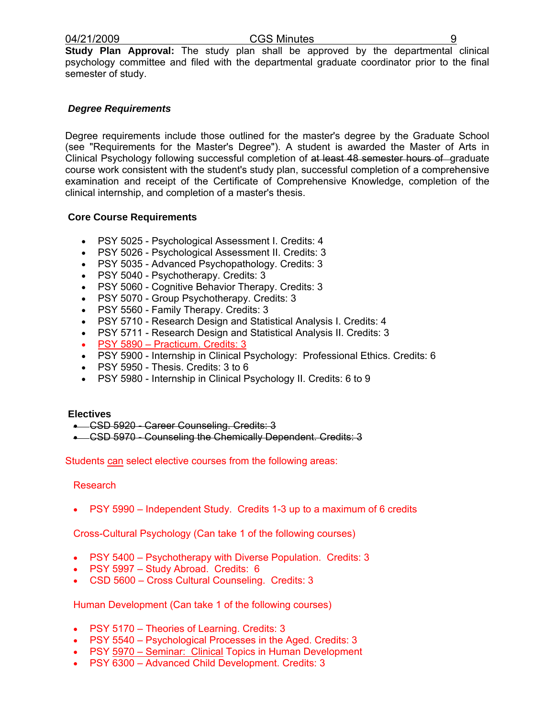**Study Plan Approval:** The study plan shall be approved by the departmental clinical psychology committee and filed with the departmental graduate coordinator prior to the final semester of study.

# *Degree Requirements*

Degree requirements include those outlined for the master's degree by the Graduate School (see "Requirements for the Master's Degree"). A student is awarded the Master of Arts in Clinical Psychology following successful completion of at least 48 semester hours of graduate course work consistent with the student's study plan, successful completion of a comprehensive examination and receipt of the Certificate of Comprehensive Knowledge, completion of the clinical internship, and completion of a master's thesis.

## **Core Course Requirements**

- PSY 5025 Psychological Assessment I. Credits: 4
- PSY 5026 Psychological Assessment II. Credits: 3
- PSY 5035 Advanced Psychopathology. Credits: 3
- PSY 5040 Psychotherapy. Credits: 3
- PSY 5060 Cognitive Behavior Therapy. Credits: 3
- PSY 5070 Group Psychotherapy. Credits: 3
- PSY 5560 Family Therapy. Credits: 3
- PSY 5710 Research Design and Statistical Analysis I. Credits: 4
- PSY 5711 Research Design and Statistical Analysis II. Credits: 3
- PSY 5890 Practicum. Credits: 3
- PSY 5900 Internship in Clinical Psychology: Professional Ethics. Credits: 6
- PSY 5950 Thesis. Credits: 3 to 6
- PSY 5980 Internship in Clinical Psychology II. Credits: 6 to 9

#### **Electives**

- CSD 5920 Career Counseling. Credits: 3
- CSD 5970 Counseling the Chemically Dependent. Credits: 3

Students can select elective courses from the following areas:

#### Research

• PSY 5990 – Independent Study. Credits 1-3 up to a maximum of 6 credits

Cross-Cultural Psychology (Can take 1 of the following courses)

- PSY 5400 Psychotherapy with Diverse Population. Credits: 3
- PSY 5997 Study Abroad. Credits: 6
- CSD 5600 Cross Cultural Counseling. Credits: 3

Human Development (Can take 1 of the following courses)

- PSY 5170 Theories of Learning. Credits: 3
- PSY 5540 Psychological Processes in the Aged. Credits: 3
- PSY 5970 Seminar: Clinical Topics in Human Development
- PSY 6300 Advanced Child Development. Credits: 3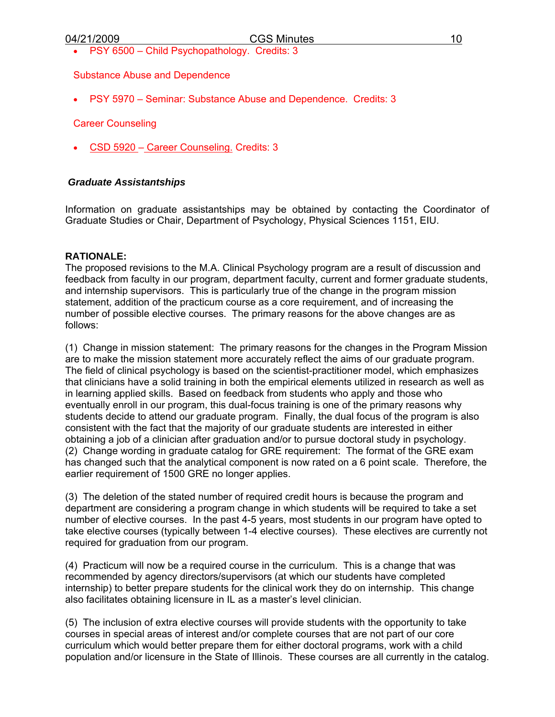• PSY 6500 – Child Psychopathology. Credits: 3

## Substance Abuse and Dependence

• PSY 5970 – Seminar: Substance Abuse and Dependence. Credits: 3

## Career Counseling

• CSD 5920 – Career Counseling. Credits: 3

# *Graduate Assistantships*

Information on graduate assistantships may be obtained by contacting the Coordinator of Graduate Studies or Chair, Department of Psychology, Physical Sciences 1151, EIU.

## **RATIONALE:**

The proposed revisions to the M.A. Clinical Psychology program are a result of discussion and feedback from faculty in our program, department faculty, current and former graduate students, and internship supervisors. This is particularly true of the change in the program mission statement, addition of the practicum course as a core requirement, and of increasing the number of possible elective courses. The primary reasons for the above changes are as follows:

(1) Change in mission statement: The primary reasons for the changes in the Program Mission are to make the mission statement more accurately reflect the aims of our graduate program. The field of clinical psychology is based on the scientist-practitioner model, which emphasizes that clinicians have a solid training in both the empirical elements utilized in research as well as in learning applied skills. Based on feedback from students who apply and those who eventually enroll in our program, this dual-focus training is one of the primary reasons why students decide to attend our graduate program. Finally, the dual focus of the program is also consistent with the fact that the majority of our graduate students are interested in either obtaining a job of a clinician after graduation and/or to pursue doctoral study in psychology. (2) Change wording in graduate catalog for GRE requirement: The format of the GRE exam has changed such that the analytical component is now rated on a 6 point scale. Therefore, the earlier requirement of 1500 GRE no longer applies.

(3) The deletion of the stated number of required credit hours is because the program and department are considering a program change in which students will be required to take a set number of elective courses. In the past 4-5 years, most students in our program have opted to take elective courses (typically between 1-4 elective courses). These electives are currently not required for graduation from our program.

(4) Practicum will now be a required course in the curriculum. This is a change that was recommended by agency directors/supervisors (at which our students have completed internship) to better prepare students for the clinical work they do on internship. This change also facilitates obtaining licensure in IL as a master's level clinician.

(5) The inclusion of extra elective courses will provide students with the opportunity to take courses in special areas of interest and/or complete courses that are not part of our core curriculum which would better prepare them for either doctoral programs, work with a child population and/or licensure in the State of Illinois. These courses are all currently in the catalog.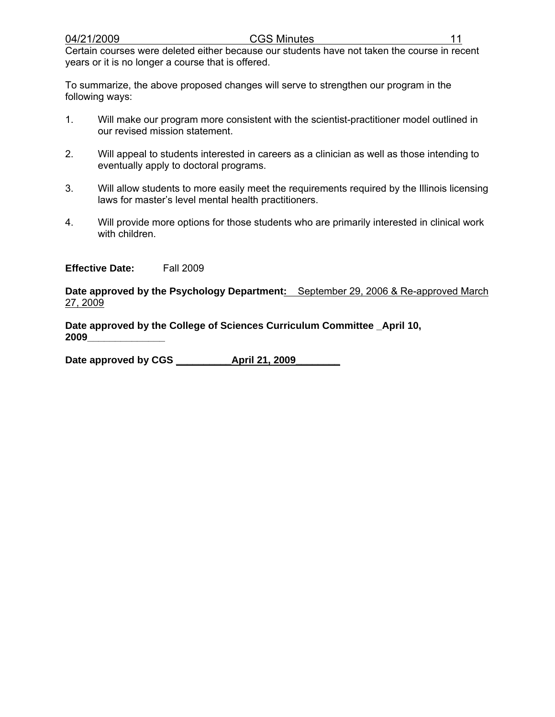Certain courses were deleted either because our students have not taken the course in recent years or it is no longer a course that is offered.

To summarize, the above proposed changes will serve to strengthen our program in the following ways:

- 1. Will make our program more consistent with the scientist-practitioner model outlined in our revised mission statement.
- 2. Will appeal to students interested in careers as a clinician as well as those intending to eventually apply to doctoral programs.
- 3. Will allow students to more easily meet the requirements required by the Illinois licensing laws for master's level mental health practitioners.
- 4. Will provide more options for those students who are primarily interested in clinical work with children.

**Effective Date:** Fall 2009

**Date approved by the Psychology Department:** September 29, 2006 & Re-approved March 27, 2009

**Date approved by the College of Sciences Curriculum Committee \_April 10, 2009\_\_\_\_\_\_\_\_\_\_\_\_\_\_** 

Date approved by CGS **April 21, 2009**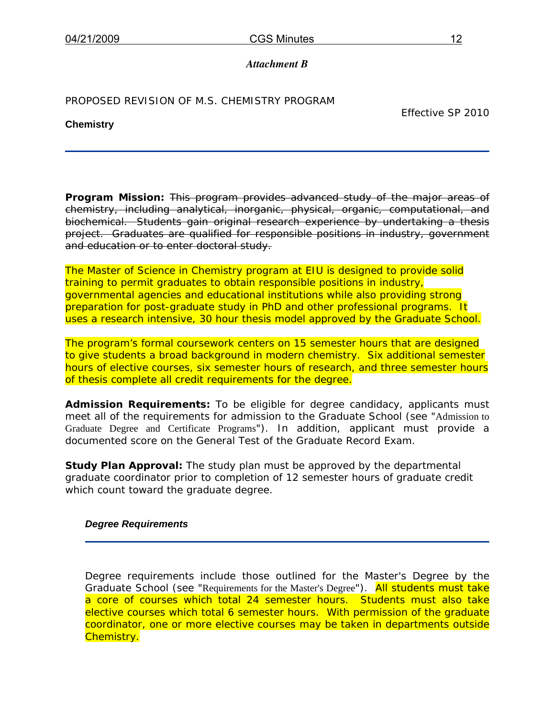# *Attachment B*

PROPOSED REVISION OF M.S. CHEMISTRY PROGRAM

# **Chemistry**

Effective SP 2010

**Program Mission:** This program provides advanced study of the major areas of chemistry, including analytical, inorganic, physical, organic, computational, and biochemical. Students gain original research experience by undertaking a thesis project. Graduates are qualified for responsible positions in industry, government and education or to enter doctoral study.

The Master of Science in Chemistry program at EIU is designed to provide solid training to permit graduates to obtain responsible positions in industry, governmental agencies and educational institutions while also providing strong preparation for post-graduate study in PhD and other professional programs. It uses a research intensive, 30 hour thesis model approved by the Graduate School.

The program's formal coursework centers on 15 semester hours that are designed to give students a broad background in modern chemistry. Six additional semester hours of elective courses, six semester hours of research, and three semester hours of thesis complete all credit requirements for the degree.

**Admission Requirements:** To be eligible for degree candidacy, applicants must meet all of the requirements for admission to the Graduate School (see "Admission to Graduate Degree and Certificate Programs"). In addition, applicant must provide a documented score on the General Test of the Graduate Record Exam.

**Study Plan Approval:** The study plan must be approved by the departmental graduate coordinator prior to completion of 12 semester hours of graduate credit which count toward the graduate degree.

# *Degree Requirements*

Degree requirements include those outlined for the Master's Degree by the Graduate School (see "Requirements for the Master's Degree"). All students must take a core of courses which total 24 semester hours. Students must also take elective courses which total 6 semester hours. With permission of the graduate coordinator, one or more elective courses may be taken in departments outside Chemistry.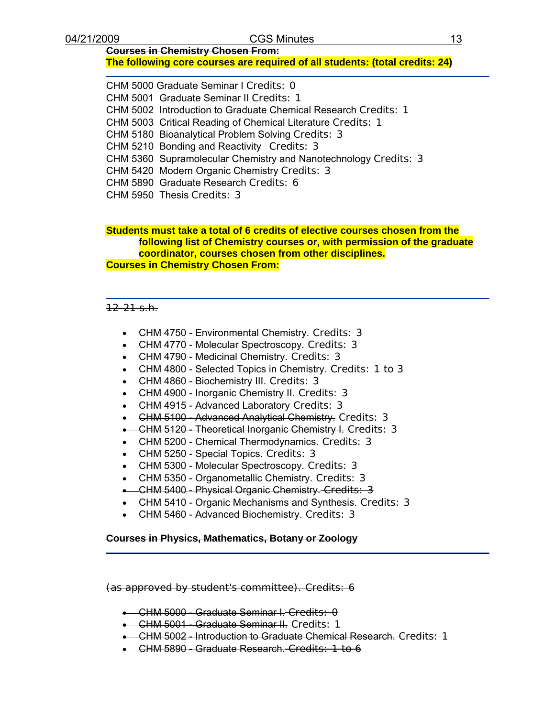# **Courses in Chemistry Chosen From:**

# **The following core courses are required of all students: (total credits: 24)**

CHM 5000 Graduate Seminar I Credits: 0 CHM 5001 Graduate Seminar II Credits: 1 CHM 5002 Introduction to Graduate Chemical Research Credits: 1 CHM 5003 Critical Reading of Chemical Literature Credits: 1 CHM 5180 Bioanalytical Problem Solving Credits: 3 CHM 5210 Bonding and Reactivity Credits: 3 CHM 5360 Supramolecular Chemistry and Nanotechnology Credits: 3 CHM 5420 Modern Organic Chemistry Credits: 3 CHM 5890 Graduate Research Credits: 6 CHM 5950 Thesis Credits: 3

#### **Students must take a total of 6 credits of elective courses chosen from the following list of Chemistry courses or, with permission of the graduate coordinator, courses chosen from other disciplines. Courses in Chemistry Chosen From:**

#### $12 - 21$  s.h.

- CHM 4750 Environmental Chemistry. Credits: 3
- CHM 4770 Molecular Spectroscopy. Credits: 3
- CHM 4790 Medicinal Chemistry. Credits: 3
- CHM 4800 Selected Topics in Chemistry. Credits: 1 to 3
- CHM 4860 Biochemistry III. Credits: 3
- CHM 4900 Inorganic Chemistry II. Credits: 3
- CHM 4915 Advanced Laboratory Credits: 3
- CHM 5100 Advanced Analytical Chemistry. Credits: 3
- CHM 5120 Theoretical Inorganic Chemistry I. Credits: 3
- CHM 5200 Chemical Thermodynamics. Credits: 3
- CHM 5250 Special Topics. Credits: 3
- CHM 5300 Molecular Spectroscopy. Credits: 3
- CHM 5350 Organometallic Chemistry. Credits: 3
- CHM 5400 Physical Organic Chemistry. Credits: 3
- CHM 5410 Organic Mechanisms and Synthesis. Credits: 3
- CHM 5460 Advanced Biochemistry. Credits: 3

#### **Courses in Physics, Mathematics, Botany or Zoology**

(as approved by student's committee). Credits: 6

- CHM 5000 Graduate Seminar I. Credits: 0
- CHM 5001 Graduate Seminar II. Credits: 1
- CHM 5002 Introduction to Graduate Chemical Research. Credits: 1
- CHM 5890 Graduate Research. Credits: 1 to 6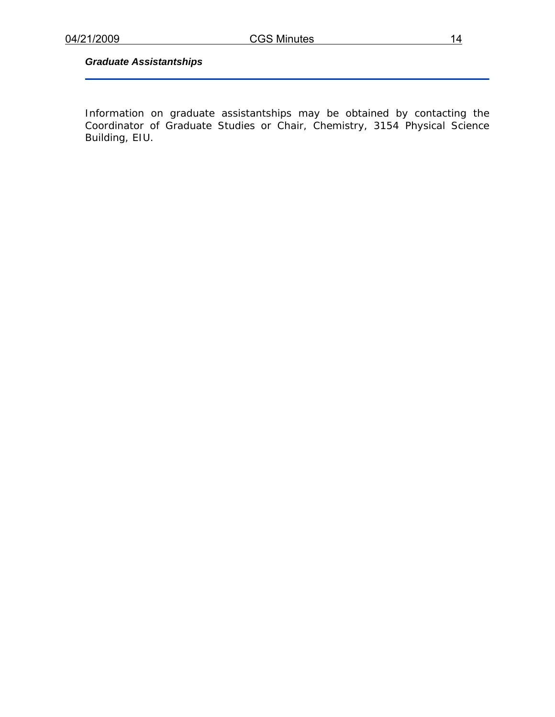# *Graduate Assistantships*

Information on graduate assistantships may be obtained by contacting the Coordinator of Graduate Studies or Chair, Chemistry, 3154 Physical Science Building, EIU.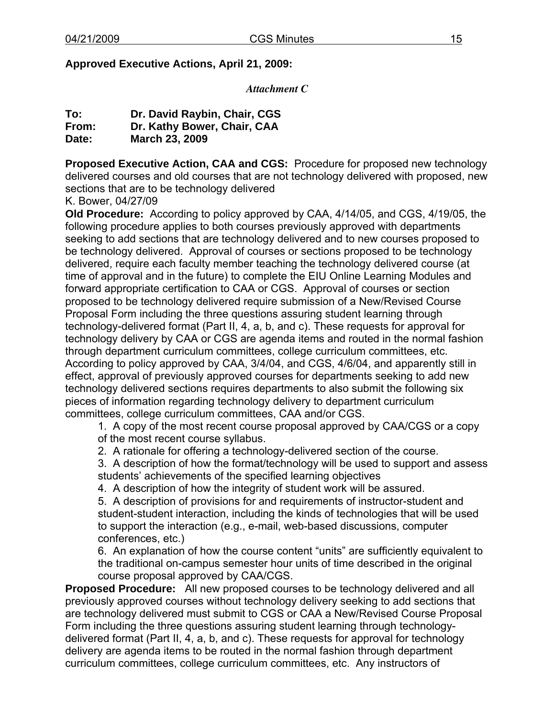# **Approved Executive Actions, April 21, 2009:**

*Attachment C* 

| To:   | Dr. David Raybin, Chair, CGS |
|-------|------------------------------|
| From: | Dr. Kathy Bower, Chair, CAA  |
| Date: | <b>March 23, 2009</b>        |

**Proposed Executive Action, CAA and CGS:** Procedure for proposed new technology delivered courses and old courses that are not technology delivered with proposed, new sections that are to be technology delivered

K. Bower, 04/27/09

**Old Procedure:** According to policy approved by CAA, 4/14/05, and CGS, 4/19/05, the following procedure applies to both courses previously approved with departments seeking to add sections that are technology delivered and to new courses proposed to be technology delivered. Approval of courses or sections proposed to be technology delivered, require each faculty member teaching the technology delivered course (at time of approval and in the future) to complete the EIU Online Learning Modules and forward appropriate certification to CAA or CGS. Approval of courses or section proposed to be technology delivered require submission of a New/Revised Course Proposal Form including the three questions assuring student learning through technology-delivered format (Part II, 4, a, b, and c). These requests for approval for technology delivery by CAA or CGS are agenda items and routed in the normal fashion through department curriculum committees, college curriculum committees, etc. According to policy approved by CAA, 3/4/04, and CGS, 4/6/04, and apparently still in effect, approval of previously approved courses for departments seeking to add new technology delivered sections requires departments to also submit the following six pieces of information regarding technology delivery to department curriculum committees, college curriculum committees, CAA and/or CGS.

1. A copy of the most recent course proposal approved by CAA/CGS or a copy of the most recent course syllabus.

2. A rationale for offering a technology-delivered section of the course.

3. A description of how the format/technology will be used to support and assess students' achievements of the specified learning objectives

4. A description of how the integrity of student work will be assured.

5. A description of provisions for and requirements of instructor-student and student-student interaction, including the kinds of technologies that will be used to support the interaction (e.g., e-mail, web-based discussions, computer conferences, etc.)

6. An explanation of how the course content "units" are sufficiently equivalent to the traditional on-campus semester hour units of time described in the original course proposal approved by CAA/CGS.

**Proposed Procedure:** All new proposed courses to be technology delivered and all previously approved courses without technology delivery seeking to add sections that are technology delivered must submit to CGS or CAA a New/Revised Course Proposal Form including the three questions assuring student learning through technologydelivered format (Part II, 4, a, b, and c). These requests for approval for technology delivery are agenda items to be routed in the normal fashion through department curriculum committees, college curriculum committees, etc. Any instructors of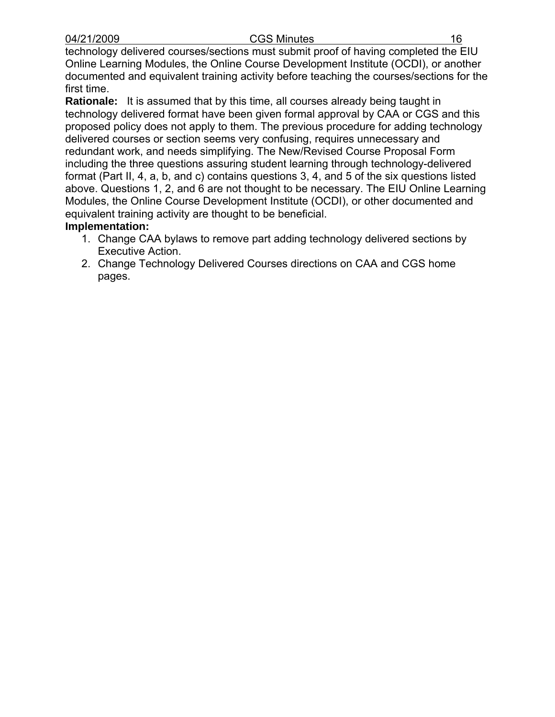technology delivered courses/sections must submit proof of having completed the EIU Online Learning Modules, the Online Course Development Institute (OCDI), or another documented and equivalent training activity before teaching the courses/sections for the first time.

**Rationale:** It is assumed that by this time, all courses already being taught in technology delivered format have been given formal approval by CAA or CGS and this proposed policy does not apply to them. The previous procedure for adding technology delivered courses or section seems very confusing, requires unnecessary and redundant work, and needs simplifying. The New/Revised Course Proposal Form including the three questions assuring student learning through technology-delivered format (Part II, 4, a, b, and c) contains questions 3, 4, and 5 of the six questions listed above. Questions 1, 2, and 6 are not thought to be necessary. The EIU Online Learning Modules, the Online Course Development Institute (OCDI), or other documented and equivalent training activity are thought to be beneficial.

# **Implementation:**

- 1. Change CAA bylaws to remove part adding technology delivered sections by Executive Action.
- 2. Change Technology Delivered Courses directions on CAA and CGS home pages.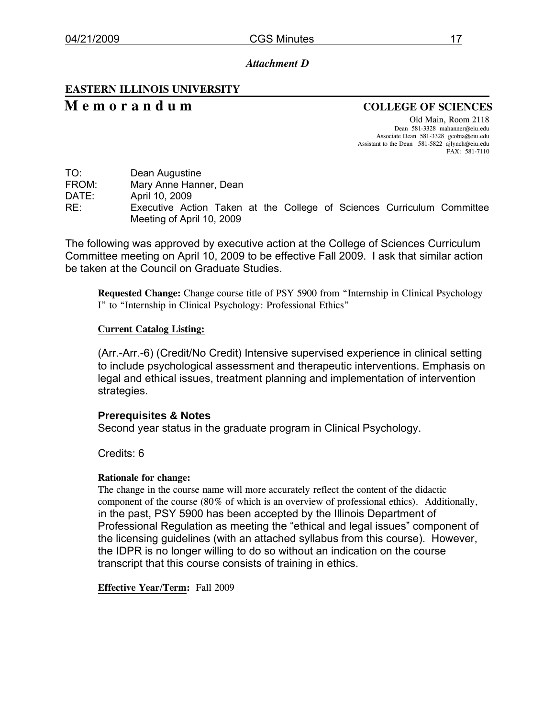# *Attachment D*

# **EASTERN ILLINOIS UNIVERSITY**

# **M e m o r a n d u m COLLEGE OF SCIENCES**

Old Main, Room 2118 Dean 581-3328 mahanner@eiu.edu Associate Dean 581-3328 gcobia@eiu.edu Assistant to the Dean 581-5822 ajlynch@eiu.edu FAX: 581-7110

FROM: Mary Anne Hanner, Dean

DATE: April 10, 2009

RE: Executive Action Taken at the College of Sciences Curriculum Committee Meeting of April 10, 2009

The following was approved by executive action at the College of Sciences Curriculum Committee meeting on April 10, 2009 to be effective Fall 2009. I ask that similar action be taken at the Council on Graduate Studies.

**Requested Change:** Change course title of PSY 5900 from "Internship in Clinical Psychology I" to "Internship in Clinical Psychology: Professional Ethics"

## **Current Catalog Listing:**

(Arr.-Arr.-6) (Credit/No Credit) Intensive supervised experience in clinical setting to include psychological assessment and therapeutic interventions. Emphasis on legal and ethical issues, treatment planning and implementation of intervention strategies.

# **Prerequisites & Notes**

Second year status in the graduate program in Clinical Psychology.

Credits: 6

# **Rationale for change:**

The change in the course name will more accurately reflect the content of the didactic component of the course (80% of which is an overview of professional ethics).Additionally, in the past, PSY 5900 has been accepted by the Illinois Department of Professional Regulation as meeting the "ethical and legal issues" component of the licensing guidelines (with an attached syllabus from this course). However, the IDPR is no longer willing to do so without an indication on the course transcript that this course consists of training in ethics.

**Effective Year/Term:** Fall 2009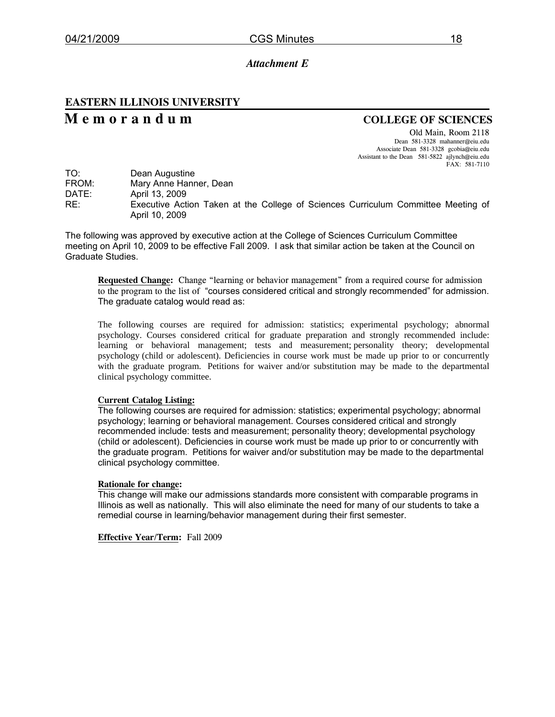#### *Attachment E*

# **EASTERN ILLINOIS UNIVERSITY**

# **M e m o r a n d u m COLLEGE OF SCIENCES**

Old Main, Room 2118 Dean 581-3328 mahanner@eiu.edu Associate Dean 581-3328 gcobia@eiu.edu Assistant to the Dean 581-5822 ajlynch@eiu.edu FAX: 581-7110

| TO:   | Dean Augustine                                                                                      |
|-------|-----------------------------------------------------------------------------------------------------|
| FROM: | Mary Anne Hanner, Dean                                                                              |
| DATE: | April 13, 2009                                                                                      |
| RE:   | Executive Action Taken at the College of Sciences Curriculum Committee Meeting of<br>April 10, 2009 |

The following was approved by executive action at the College of Sciences Curriculum Committee meeting on April 10, 2009 to be effective Fall 2009. I ask that similar action be taken at the Council on Graduate Studies.

**Requested Change:** Change "learning or behavior management" from a required course for admission to the program to the list of "courses considered critical and strongly recommended" for admission. The graduate catalog would read as:

The following courses are required for admission: statistics; experimental psychology; abnormal psychology. Courses considered critical for graduate preparation and strongly recommended include: learning or behavioral management; tests and measurement; personality theory; developmental psychology (child or adolescent). Deficiencies in course work must be made up prior to or concurrently with the graduate program. Petitions for waiver and/or substitution may be made to the departmental clinical psychology committee.

#### **Current Catalog Listing:**

The following courses are required for admission: statistics; experimental psychology; abnormal psychology; learning or behavioral management. Courses considered critical and strongly recommended include: tests and measurement; personality theory; developmental psychology (child or adolescent). Deficiencies in course work must be made up prior to or concurrently with the graduate program. Petitions for waiver and/or substitution may be made to the departmental clinical psychology committee.

#### **Rationale for change:**

This change will make our admissions standards more consistent with comparable programs in Illinois as well as nationally. This will also eliminate the need for many of our students to take a remedial course in learning/behavior management during their first semester.

**Effective Year/Term:** Fall 2009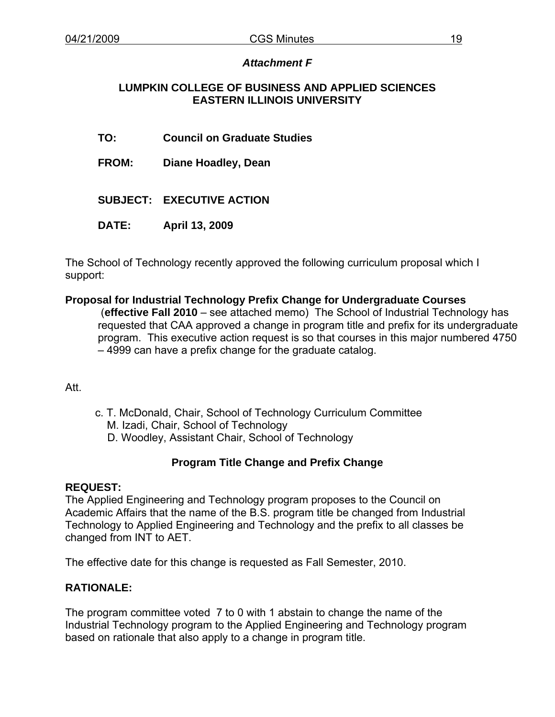# *Attachment F*

# **LUMPKIN COLLEGE OF BUSINESS AND APPLIED SCIENCES EASTERN ILLINOIS UNIVERSITY**

- **TO: Council on Graduate Studies**
- **FROM: Diane Hoadley, Dean**
- **SUBJECT: EXECUTIVE ACTION**
- **DATE: April 13, 2009**

The School of Technology recently approved the following curriculum proposal which I support:

# **Proposal for Industrial Technology Prefix Change for Undergraduate Courses**

 (**effective Fall 2010** – see attached memo) The School of Industrial Technology has requested that CAA approved a change in program title and prefix for its undergraduate program. This executive action request is so that courses in this major numbered 4750 – 4999 can have a prefix change for the graduate catalog.

# Att.

c. T. McDonald, Chair, School of Technology Curriculum Committee M. Izadi, Chair, School of Technology D. Woodley, Assistant Chair, School of Technology

# **Program Title Change and Prefix Change**

# **REQUEST:**

The Applied Engineering and Technology program proposes to the Council on Academic Affairs that the name of the B.S. program title be changed from Industrial Technology to Applied Engineering and Technology and the prefix to all classes be changed from INT to AET.

The effective date for this change is requested as Fall Semester, 2010.

# **RATIONALE:**

The program committee voted 7 to 0 with 1 abstain to change the name of the Industrial Technology program to the Applied Engineering and Technology program based on rationale that also apply to a change in program title.